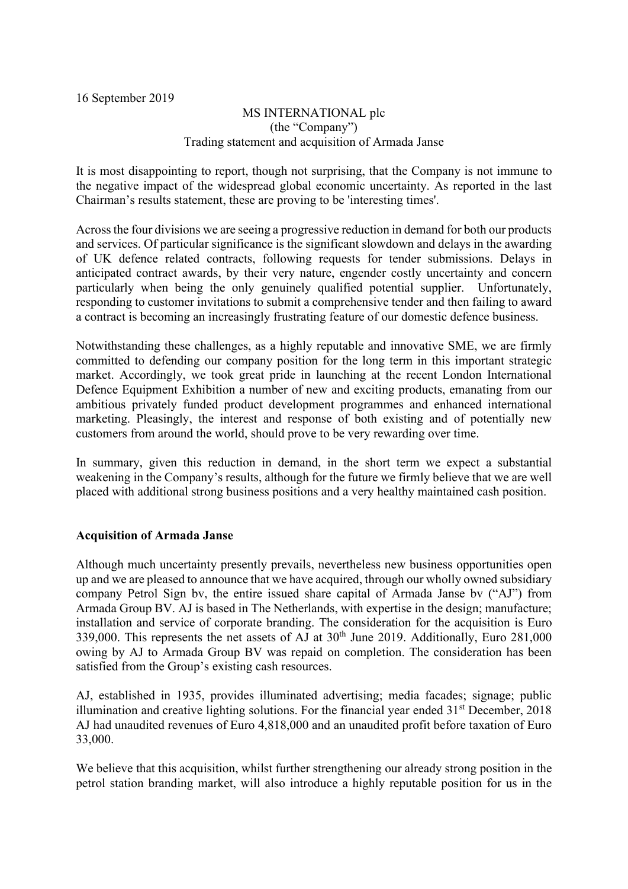16 September 2019

## MS INTERNATIONAL plc (the "Company") Trading statement and acquisition of Armada Janse

It is most disappointing to report, though not surprising, that the Company is not immune to the negative impact of the widespread global economic uncertainty. As reported in the last Chairman's results statement, these are proving to be 'interesting times'.

Across the four divisions we are seeing a progressive reduction in demand for both our products and services. Of particular significance is the significant slowdown and delays in the awarding of UK defence related contracts, following requests for tender submissions. Delays in anticipated contract awards, by their very nature, engender costly uncertainty and concern particularly when being the only genuinely qualified potential supplier. Unfortunately, responding to customer invitations to submit a comprehensive tender and then failing to award a contract is becoming an increasingly frustrating feature of our domestic defence business.

Notwithstanding these challenges, as a highly reputable and innovative SME, we are firmly committed to defending our company position for the long term in this important strategic market. Accordingly, we took great pride in launching at the recent London International Defence Equipment Exhibition a number of new and exciting products, emanating from our ambitious privately funded product development programmes and enhanced international marketing. Pleasingly, the interest and response of both existing and of potentially new customers from around the world, should prove to be very rewarding over time.

In summary, given this reduction in demand, in the short term we expect a substantial weakening in the Company's results, although for the future we firmly believe that we are well placed with additional strong business positions and a very healthy maintained cash position.

## Acquisition of Armada Janse

Although much uncertainty presently prevails, nevertheless new business opportunities open up and we are pleased to announce that we have acquired, through our wholly owned subsidiary company Petrol Sign bv, the entire issued share capital of Armada Janse bv ("AJ") from Armada Group BV. AJ is based in The Netherlands, with expertise in the design; manufacture; installation and service of corporate branding. The consideration for the acquisition is Euro 339,000. This represents the net assets of  $\overrightarrow{AJ}$  at 30<sup>th</sup> June 2019. Additionally, Euro 281,000 owing by AJ to Armada Group BV was repaid on completion. The consideration has been satisfied from the Group's existing cash resources.

AJ, established in 1935, provides illuminated advertising; media facades; signage; public illumination and creative lighting solutions. For the financial year ended  $31<sup>st</sup>$  December, 2018 AJ had unaudited revenues of Euro 4,818,000 and an unaudited profit before taxation of Euro 33,000.

We believe that this acquisition, whilst further strengthening our already strong position in the petrol station branding market, will also introduce a highly reputable position for us in the